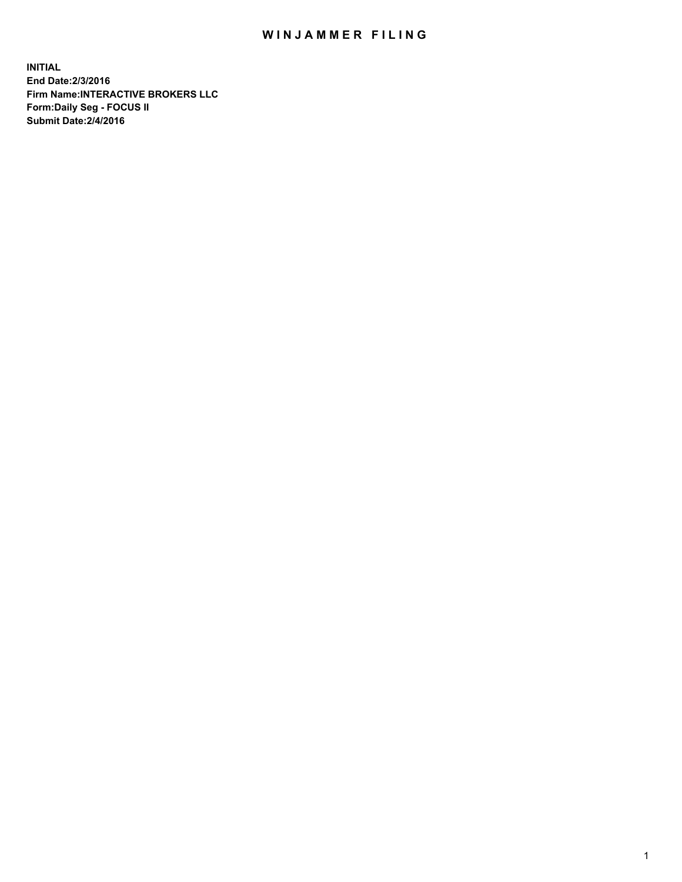## WIN JAMMER FILING

**INITIAL End Date:2/3/2016 Firm Name:INTERACTIVE BROKERS LLC Form:Daily Seg - FOCUS II Submit Date:2/4/2016**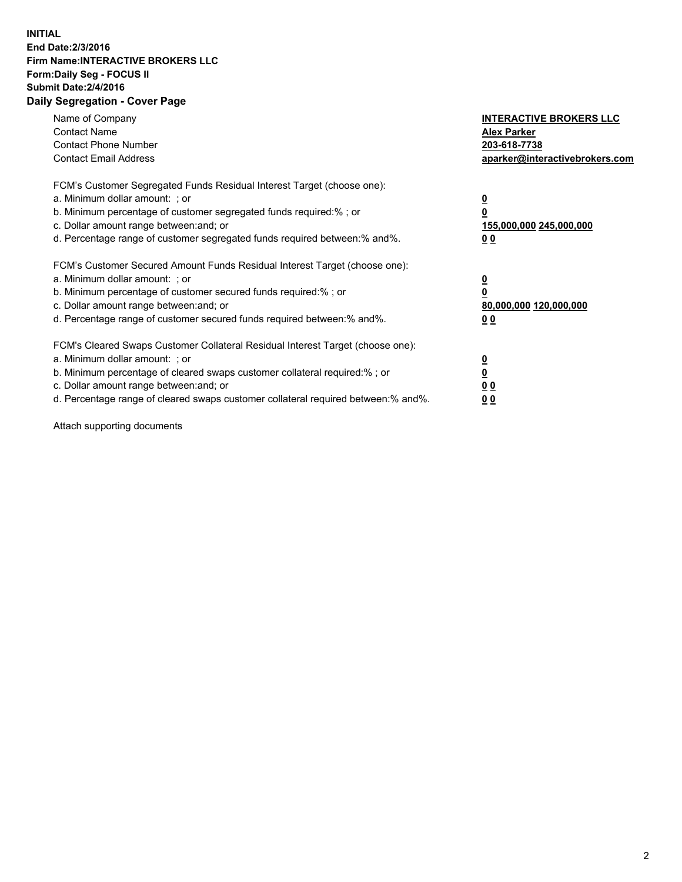## **INITIAL End Date:2/3/2016 Firm Name:INTERACTIVE BROKERS LLC Form:Daily Seg - FOCUS II Submit Date:2/4/2016 Daily Segregation - Cover Page**

| Name of Company<br><b>Contact Name</b><br><b>Contact Phone Number</b><br><b>Contact Email Address</b>                                                                                                                                                                                                                          | <b>INTERACTIVE BROKERS LLC</b><br><b>Alex Parker</b><br>203-618-7738<br>aparker@interactivebrokers.com |
|--------------------------------------------------------------------------------------------------------------------------------------------------------------------------------------------------------------------------------------------------------------------------------------------------------------------------------|--------------------------------------------------------------------------------------------------------|
| FCM's Customer Segregated Funds Residual Interest Target (choose one):<br>a. Minimum dollar amount: ; or<br>b. Minimum percentage of customer segregated funds required:%; or<br>c. Dollar amount range between: and; or<br>d. Percentage range of customer segregated funds required between:% and%.                          | <u>0</u><br>155,000,000 245,000,000<br><u>00</u>                                                       |
| FCM's Customer Secured Amount Funds Residual Interest Target (choose one):<br>a. Minimum dollar amount: ; or<br>b. Minimum percentage of customer secured funds required:%; or<br>c. Dollar amount range between: and; or<br>d. Percentage range of customer secured funds required between:% and%.                            | <u>0</u><br>80,000,000 120,000,000<br>0 <sub>0</sub>                                                   |
| FCM's Cleared Swaps Customer Collateral Residual Interest Target (choose one):<br>a. Minimum dollar amount: ; or<br>b. Minimum percentage of cleared swaps customer collateral required:% ; or<br>c. Dollar amount range between: and; or<br>d. Percentage range of cleared swaps customer collateral required between:% and%. | ₫<br>0 <sub>0</sub><br>0 <sub>0</sub>                                                                  |

Attach supporting documents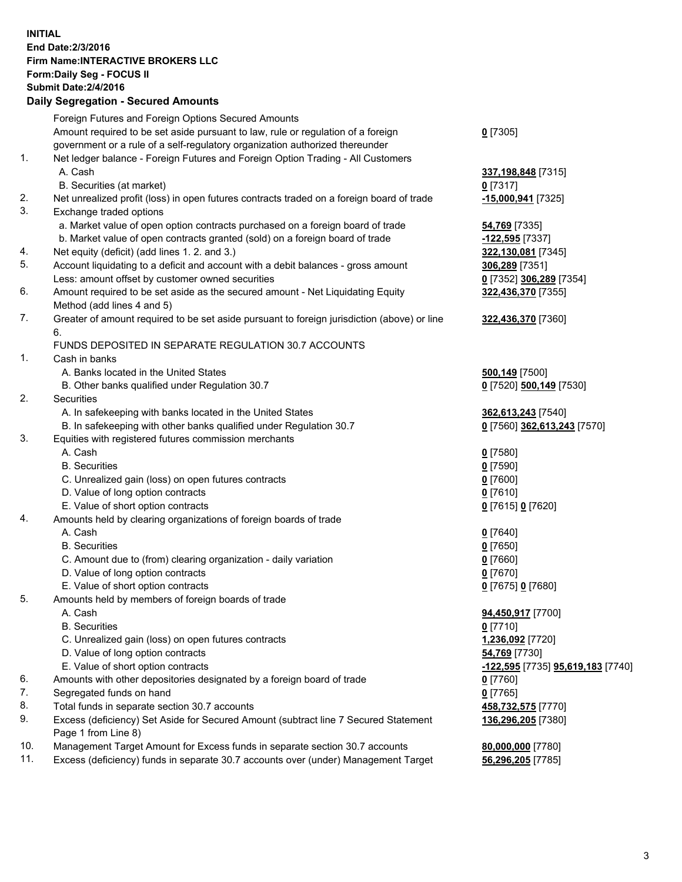## **INITIAL End Date:2/3/2016 Firm Name:INTERACTIVE BROKERS LLC Form:Daily Seg - FOCUS II Submit Date:2/4/2016 Daily Segregation - Secured Amounts**

|     | Foreign Futures and Foreign Options Secured Amounts                                         |                                   |
|-----|---------------------------------------------------------------------------------------------|-----------------------------------|
|     | Amount required to be set aside pursuant to law, rule or regulation of a foreign            | $0$ [7305]                        |
|     | government or a rule of a self-regulatory organization authorized thereunder                |                                   |
| 1.  | Net ledger balance - Foreign Futures and Foreign Option Trading - All Customers             |                                   |
|     | A. Cash                                                                                     | 337,198,848 [7315]                |
|     | B. Securities (at market)                                                                   | $0$ [7317]                        |
| 2.  | Net unrealized profit (loss) in open futures contracts traded on a foreign board of trade   | <u>-15,000,941</u> [7325]         |
| 3.  | Exchange traded options                                                                     |                                   |
|     | a. Market value of open option contracts purchased on a foreign board of trade              | 54,769 [7335]                     |
|     | b. Market value of open contracts granted (sold) on a foreign board of trade                | -122,595 [7337]                   |
| 4.  | Net equity (deficit) (add lines 1.2. and 3.)                                                | 322,130,081 [7345]                |
| 5.  | Account liquidating to a deficit and account with a debit balances - gross amount           | 306,289 [7351]                    |
|     | Less: amount offset by customer owned securities                                            | 0 [7352] 306,289 [7354]           |
| 6.  | Amount required to be set aside as the secured amount - Net Liquidating Equity              | 322,436,370 [7355]                |
|     | Method (add lines 4 and 5)                                                                  |                                   |
| 7.  | Greater of amount required to be set aside pursuant to foreign jurisdiction (above) or line | 322,436,370 [7360]                |
|     | 6.                                                                                          |                                   |
|     | FUNDS DEPOSITED IN SEPARATE REGULATION 30.7 ACCOUNTS                                        |                                   |
| 1.  | Cash in banks                                                                               |                                   |
|     | A. Banks located in the United States                                                       | 500,149 [7500]                    |
|     | B. Other banks qualified under Regulation 30.7                                              | 0 [7520] 500,149 [7530]           |
| 2.  | Securities                                                                                  |                                   |
|     | A. In safekeeping with banks located in the United States                                   | 362,613,243 [7540]                |
|     | B. In safekeeping with other banks qualified under Regulation 30.7                          | 0 [7560] 362,613,243 [7570]       |
| 3.  | Equities with registered futures commission merchants                                       |                                   |
|     | A. Cash                                                                                     | $0$ [7580]                        |
|     | <b>B.</b> Securities                                                                        | $0$ [7590]                        |
|     |                                                                                             |                                   |
|     | C. Unrealized gain (loss) on open futures contracts                                         | $0$ [7600]                        |
|     | D. Value of long option contracts                                                           | $0$ [7610]                        |
|     | E. Value of short option contracts                                                          | 0 [7615] 0 [7620]                 |
| 4.  | Amounts held by clearing organizations of foreign boards of trade                           |                                   |
|     | A. Cash                                                                                     | $0$ [7640]                        |
|     | <b>B.</b> Securities                                                                        | $0$ [7650]                        |
|     | C. Amount due to (from) clearing organization - daily variation                             | $0$ [7660]                        |
|     | D. Value of long option contracts                                                           | $0$ [7670]                        |
|     | E. Value of short option contracts                                                          | 0 [7675] 0 [7680]                 |
| 5.  | Amounts held by members of foreign boards of trade                                          |                                   |
|     | A. Cash                                                                                     | 94,450,917 [7700]                 |
|     | <b>B.</b> Securities                                                                        | $0$ [7710]                        |
|     | C. Unrealized gain (loss) on open futures contracts                                         | 1,236,092 <sup>[7720]</sup>       |
|     | D. Value of long option contracts                                                           | 54,769 [7730]                     |
|     | E. Value of short option contracts                                                          | -122,595 [7735] 95,619,183 [7740] |
| 6.  | Amounts with other depositories designated by a foreign board of trade                      | $0$ [7760]                        |
| 7.  | Segregated funds on hand                                                                    | $0$ [7765]                        |
| 8.  | Total funds in separate section 30.7 accounts                                               | 458,732,575 [7770]                |
| 9.  | Excess (deficiency) Set Aside for Secured Amount (subtract line 7 Secured Statement         | 136,296,205 [7380]                |
|     | Page 1 from Line 8)                                                                         |                                   |
| 10. | Management Target Amount for Excess funds in separate section 30.7 accounts                 | 80,000,000 [7780]                 |
| 11. | Excess (deficiency) funds in separate 30.7 accounts over (under) Management Target          | 56,296,205 [7785]                 |
|     |                                                                                             |                                   |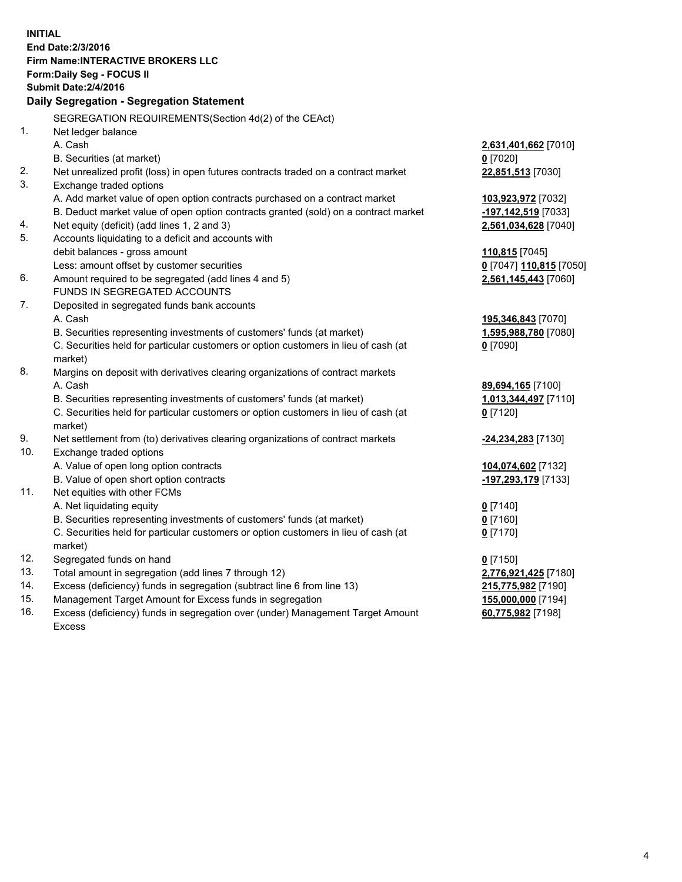**INITIAL End Date:2/3/2016 Firm Name:INTERACTIVE BROKERS LLC Form:Daily Seg - FOCUS II Submit Date:2/4/2016 Daily Segregation - Segregation Statement** SEGREGATION REQUIREMENTS(Section 4d(2) of the CEAct) 1. Net ledger balance A. Cash **2,631,401,662** [7010] B. Securities (at market) **0** [7020] 2. Net unrealized profit (loss) in open futures contracts traded on a contract market **22,851,513** [7030] 3. Exchange traded options A. Add market value of open option contracts purchased on a contract market **103,923,972** [7032] B. Deduct market value of open option contracts granted (sold) on a contract market **-197,142,519** [7033] 4. Net equity (deficit) (add lines 1, 2 and 3) **2,561,034,628** [7040] 5. Accounts liquidating to a deficit and accounts with debit balances - gross amount **110,815** [7045] Less: amount offset by customer securities **0** [7047] **110,815** [7050] 6. Amount required to be segregated (add lines 4 and 5) **2,561,145,443** [7060] FUNDS IN SEGREGATED ACCOUNTS 7. Deposited in segregated funds bank accounts A. Cash **195,346,843** [7070] B. Securities representing investments of customers' funds (at market) **1,595,988,780** [7080] C. Securities held for particular customers or option customers in lieu of cash (at market) **0** [7090] 8. Margins on deposit with derivatives clearing organizations of contract markets A. Cash **89,694,165** [7100] B. Securities representing investments of customers' funds (at market) **1,013,344,497** [7110] C. Securities held for particular customers or option customers in lieu of cash (at market) **0** [7120] 9. Net settlement from (to) derivatives clearing organizations of contract markets **-24,234,283** [7130] 10. Exchange traded options A. Value of open long option contracts **104,074,602** [7132] B. Value of open short option contracts **-197,293,179** [7133] 11. Net equities with other FCMs A. Net liquidating equity **0** [7140] B. Securities representing investments of customers' funds (at market) **0** [7160] C. Securities held for particular customers or option customers in lieu of cash (at market) **0** [7170] 12. Segregated funds on hand **0** [7150] 13. Total amount in segregation (add lines 7 through 12) **2,776,921,425** [7180] 14. Excess (deficiency) funds in segregation (subtract line 6 from line 13) **215,775,982** [7190] 15. Management Target Amount for Excess funds in segregation **155,000,000** [7194] **60,775,982** [7198]

16. Excess (deficiency) funds in segregation over (under) Management Target Amount Excess